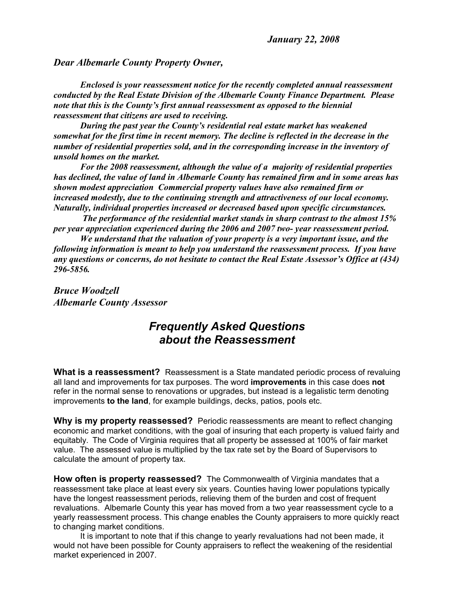## *Dear Albemarle County Property Owner,*

*Enclosed is your reassessment notice for the recently completed annual reassessment conducted by the Real Estate Division of the Albemarle County Finance Department. Please note that this is the County's first annual reassessment as opposed to the biennial reassessment that citizens are used to receiving.*

*During the past year the County's residential real estate market has weakened somewhat for the first time in recent memory. The decline is reflected in the decrease in the number of residential properties sold, and in the corresponding increase in the inventory of unsold homes on the market.*

*For the 2008 reassessment, although the value of a majority of residential properties has declined, the value of land in Albemarle County has remained firm and in some areas has shown modest appreciation Commercial property values have also remained firm or increased modestly, due to the continuing strength and attractiveness of our local economy. Naturally, individual properties increased or decreased based upon specific circumstances.*

 *The performance of the residential market stands in sharp contrast to the almost 15% per year appreciation experienced during the 2006 and 2007 two- year reassessment period.* 

*We understand that the valuation of your property is a very important issue, and the following information is meant to help you understand the reassessment process. If you have any questions or concerns, do not hesitate to contact the Real Estate Assessor's Office at (434) 296-5856.* 

*Bruce Woodzell Albemarle County Assessor*

## *Frequently Asked Questions about the Reassessment*

**What is a reassessment?** Reassessment is a State mandated periodic process of revaluing all land and improvements for tax purposes. The word **improvements** in this case does **not** refer in the normal sense to renovations or upgrades, but instead is a legalistic term denoting improvements **to the land**, for example buildings, decks, patios, pools etc.

**Why is my property reassessed?** Periodic reassessments are meant to reflect changing economic and market conditions, with the goal of insuring that each property is valued fairly and equitably. The Code of Virginia requires that all property be assessed at 100% of fair market value. The assessed value is multiplied by the tax rate set by the Board of Supervisors to calculate the amount of property tax.

**How often is property reassessed?** The Commonwealth of Virginia mandates that a reassessment take place at least every six years. Counties having lower populations typically have the longest reassessment periods, relieving them of the burden and cost of frequent revaluations. Albemarle County this year has moved from a two year reassessment cycle to a yearly reassessment process. This change enables the County appraisers to more quickly react to changing market conditions.

It is important to note that if this change to yearly revaluations had not been made, it would not have been possible for County appraisers to reflect the weakening of the residential market experienced in 2007.